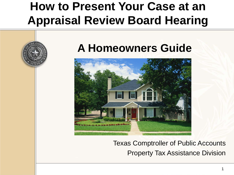#### **How to Present Your Case at an Appraisal Review Board Hearing**

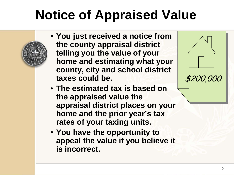# **Notice of Appraised Value**

- **You just received a notice from the county appraisal district telling you the value of your home and estimating what your county, city and school district taxes could be.**
- 

\$200,000

- **The estimated tax is based on the appraised value the appraisal district places on your home and the prior year's tax rates of your taxing units.**
- **You have the opportunity to appeal the value if you believe it is incorrect.**

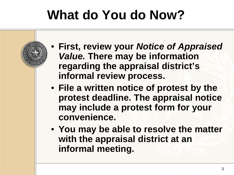## **What do You do Now?**

- **First, review your** *Notice of Appraised Value.* **There may be information regarding the appraisal district's informal review process.**
- **File a written notice of protest by the protest deadline. The appraisal notice may include a protest form for your convenience.**
- **You may be able to resolve the matter with the appraisal district at an informal meeting.**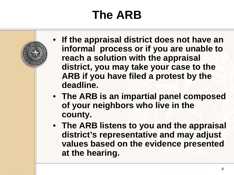## **The ARB**

- **If the appraisal district does not have an informal process or if you are unable to reach a solution with the appraisal district, you may take your case to the ARB if you have filed a protest by the deadline.**
- **The ARB is an impartial panel composed of your neighbors who live in the county.**
- **The ARB listens to you and the appraisal district's representative and may adjust values based on the evidence presented at the hearing.**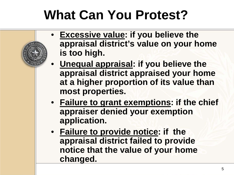## **What Can You Protest?**

- **Excessive value: if you believe the appraisal district's value on your home is too high.**
- **Unequal appraisal: if you believe the appraisal district appraised your home at a higher proportion of its value than most properties.**
- **Failure to grant exemptions: if the chief appraiser denied your exemption application.**
- **Failure to provide notice: if the appraisal district failed to provide notice that the value of your home changed.**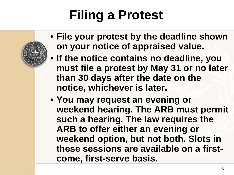## **Filing a Protest**

- **File your protest by the deadline shown on your notice of appraised value.**
- **If the notice contains no deadline, you must file a protest by May 31 or no later than 30 days after the date on the notice, whichever is later.**
- **You may request an evening or weekend hearing. The ARB must permit such a hearing. The law requires the ARB to offer either an evening or weekend option, but not both. Slots in these sessions are available on a firstcome, first-serve basis.**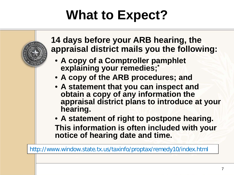## **What to Expect?**



http://www.window.state.tx.us/taxinfo/proptax/remedy10/index.html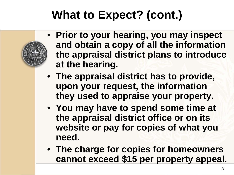#### **What to Expect? (cont.)**

- **Prior to your hearing, you may inspect and obtain a copy of all the information the appraisal district plans to introduce at the hearing.**
- **The appraisal district has to provide, upon your request, the information they used to appraise your property.**
- **You may have to spend some time at the appraisal district office or on its website or pay for copies of what you need.**
- **The charge for copies for homeowners cannot exceed \$15 per property appeal.**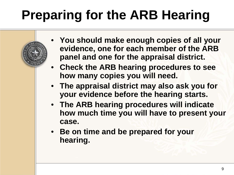# **Preparing for the ARB Hearing**

- **You should make enough copies of all your evidence, one for each member of the ARB panel and one for the appraisal district.**
- **Check the ARB hearing procedures to see how many copies you will need.**
- **The appraisal district may also ask you for your evidence before the hearing starts.**
- **The ARB hearing procedures will indicate how much time you will have to present your case.**
- **Be on time and be prepared for your hearing.**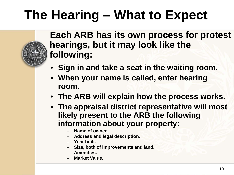## **The Hearing – What to Expect**

**Each ARB has its own process for protest hearings, but it may look like the following:**

- **Sign in and take a seat in the waiting room.**
- **When your name is called, enter hearing room.**
- **The ARB will explain how the process works.**
- **The appraisal district representative will most likely present to the ARB the following information about your property:**
	- **Name of owner.**
	- **Address and legal description.**
	- **Year built.**
	- **Size, both of improvements and land.**
	- **Amenities.**
	- **Market Value.**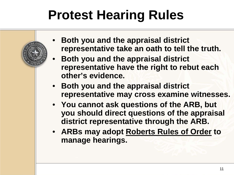## **Protest Hearing Rules**

- **Both you and the appraisal district representative take an oath to tell the truth.**
- **Both you and the appraisal district representative have the right to rebut each other's evidence.**
- **Both you and the appraisal district representative may cross examine witnesses.**
- **You cannot ask questions of the ARB, but you should direct questions of the appraisal district representative through the ARB.**
- **ARBs may adopt Roberts Rules of Order to manage hearings.**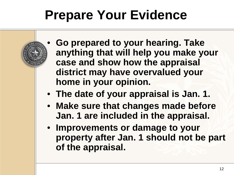## **Prepare Your Evidence**

- **Go prepared to your hearing. Take anything that will help you make your case and show how the appraisal district may have overvalued your home in your opinion.**
- **The date of your appraisal is Jan. 1.**
- **Make sure that changes made before Jan. 1 are included in the appraisal.**
- **Improvements or damage to your property after Jan. 1 should not be part of the appraisal.**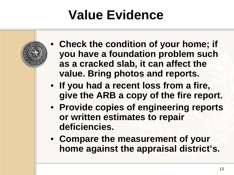## **Value Evidence**

- **Check the condition of your home; if you have a foundation problem such as a cracked slab, it can affect the value. Bring photos and reports.**
- **If you had a recent loss from a fire, give the ARB a copy of the fire report.**
- **Provide copies of engineering reports or written estimates to repair deficiencies.**
- **Compare the measurement of your home against the appraisal district's.**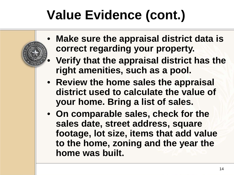## **Value Evidence (cont.)**

- **Make sure the appraisal district data is correct regarding your property.**
	- **Verify that the appraisal district has the right amenities, such as a pool.**
- **Review the home sales the appraisal district used to calculate the value of your home. Bring a list of sales.**
- **On comparable sales, check for the sales date, street address, square footage, lot size, items that add value to the home, zoning and the year the home was built.**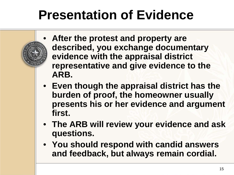## **Presentation of Evidence**

- **After the protest and property are described, you exchange documentary evidence with the appraisal district representative and give evidence to the ARB.**
- **Even though the appraisal district has the burden of proof, the homeowner usually presents his or her evidence and argument first.**
- **The ARB will review your evidence and ask questions.**
- **You should respond with candid answers and feedback, but always remain cordial.**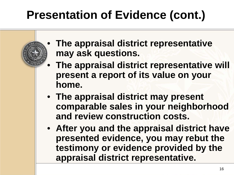## **Presentation of Evidence (cont.)**

- **The appraisal district representative may ask questions.**
- **The appraisal district representative will present a report of its value on your home.**
- **The appraisal district may present comparable sales in your neighborhood and review construction costs.**
- **After you and the appraisal district have presented evidence, you may rebut the testimony or evidence provided by the appraisal district representative.**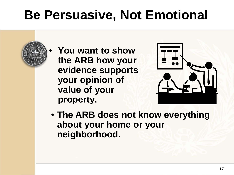## **Be Persuasive, Not Emotional**

• **You want to show the ARB how your evidence supports your opinion of value of your property.**



• **The ARB does not know everything about your home or your neighborhood.**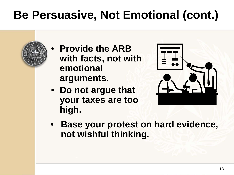## **Be Persuasive, Not Emotional (cont.)**

• **Provide the ARB with facts, not with emotional arguments.**



- **Do not argue that your taxes are too high.**
- **Base your protest on hard evidence, not wishful thinking.**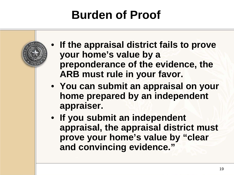#### **Burden of Proof**

- **If the appraisal district fails to prove your home's value by a preponderance of the evidence, the ARB must rule in your favor.**
- **You can submit an appraisal on your home prepared by an independent appraiser.**
- **If you submit an independent appraisal, the appraisal district must prove your home's value by "clear and convincing evidence."**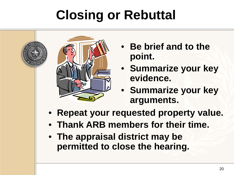# **Closing or Rebuttal**



- **Be brief and to the point.**
- **Summarize your key evidence.**
- **Summarize your key arguments.**
- **Repeat your requested property value.**
- **Thank ARB members for their time.**
- **The appraisal district may be permitted to close the hearing.**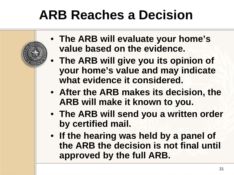## **ARB Reaches a Decision**

- **The ARB will evaluate your home's value based on the evidence.**
- **The ARB will give you its opinion of your home's value and may indicate what evidence it considered.**
- **After the ARB makes its decision, the ARB will make it known to you.**
- **The ARB will send you a written order by certified mail.**
- **If the hearing was held by a panel of the ARB the decision is not final until approved by the full ARB.**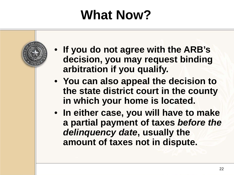## **What Now?**

- **If you do not agree with the ARB's decision, you may request binding arbitration if you qualify.**
- **You can also appeal the decision to the state district court in the county in which your home is located.**
- **In either case, you will have to make a partial payment of taxes** *before the delinquency date***, usually the amount of taxes not in dispute.**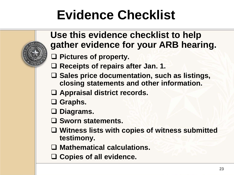## **Evidence Checklist**

#### **Use this evidence checklist to help gather evidence for your ARB hearing.**

- **Pictures of property.**
- **Receipts of repairs after Jan. 1.**
- **Sales price documentation, such as listings, closing statements and other information.**
- **Appraisal district records.**
- **Graphs.**
- **Diagrams.**
- **Sworn statements.**
- **Witness lists with copies of witness submitted testimony.**
- **Mathematical calculations.**
- **Copies of all evidence.**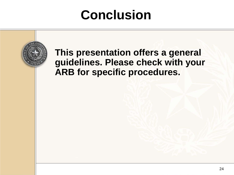## **Conclusion**

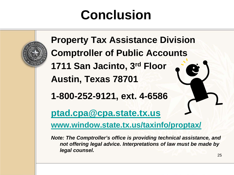## **Conclusion**

**Property Tax Assistance Division Comptroller of Public Accounts 1711 San Jacinto, 3rd Floor Austin, Texas 78701 1-800-252-9121, ext. 4-6586**

**[ptad.cpa@cpa.state.tx.us](mailto:ptad.cpa@cpa.state.tx.us)**

**[www.window.state.tx.us/taxinfo/proptax/](http://www.window.state.tx.us/taxinfo/proptax/)**

*Note: The Comptroller's office is providing technical assistance, and not offering legal advice. Interpretations of law must be made by legal counsel.*